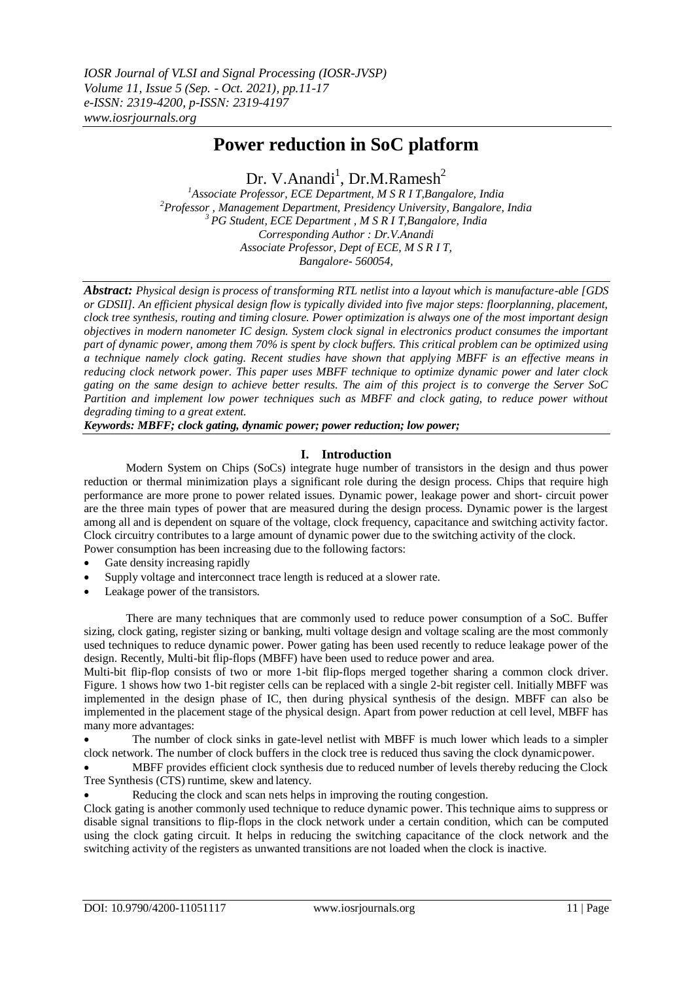# **Power reduction in SoC platform**

Dr. V.Anandi<sup>1</sup>, Dr.M.Ramesh<sup>2</sup>

*<sup>1</sup>Associate Professor, ECE Department, M S R I T,Bangalore, India <sup>2</sup>Professor , Management Department, Presidency University, Bangalore, India <sup>3</sup>PG Student, ECE Department , M S R I T,Bangalore, India Corresponding Author : Dr.V.Anandi Associate Professor, Dept of ECE, M S R I T, Bangalore- 560054,*

*Abstract: Physical design is process of transforming RTL netlist into a layout which is manufacture-able [GDS or GDSII]. An efficient physical design flow is typically divided into five major steps: floorplanning, placement, clock tree synthesis, routing and timing closure. Power optimization is always one of the most important design objectives in modern nanometer IC design. System clock signal in electronics product consumes the important part of dynamic power, among them 70% is spent by clock buffers. This critical problem can be optimized using a technique namely clock gating. Recent studies have shown that applying MBFF is an effective means in reducing clock network power. This paper uses MBFF technique to optimize dynamic power and later clock gating on the same design to achieve better results. The aim of this project is to converge the Server SoC Partition and implement low power techniques such as MBFF and clock gating, to reduce power without degrading timing to a great extent.*

*Keywords: MBFF; clock gating, dynamic power; power reduction; low power;*

## **I. Introduction**

Modern System on Chips (SoCs) integrate huge number of transistors in the design and thus power reduction or thermal minimization plays a significant role during the design process. Chips that require high performance are more prone to power related issues. Dynamic power, leakage power and short- circuit power are the three main types of power that are measured during the design process. Dynamic power is the largest among all and is dependent on square of the voltage, clock frequency, capacitance and switching activity factor. Clock circuitry contributes to a large amount of dynamic power due to the switching activity of the clock. Power consumption has been increasing due to the following factors:

- Gate density increasing rapidly
- Supply voltage and interconnect trace length is reduced at a slower rate.
- Leakage power of the transistors.

There are many techniques that are commonly used to reduce power consumption of a SoC. Buffer sizing, clock gating, register sizing or banking, multi voltage design and voltage scaling are the most commonly used techniques to reduce dynamic power. Power gating has been used recently to reduce leakage power of the design. Recently, Multi-bit flip-flops (MBFF) have been used to reduce power and area.

Multi-bit flip-flop consists of two or more 1-bit flip-flops merged together sharing a common clock driver. Figure. 1 shows how two 1-bit register cells can be replaced with a single 2-bit register cell. Initially MBFF was implemented in the design phase of IC, then during physical synthesis of the design. MBFF can also be implemented in the placement stage of the physical design. Apart from power reduction at cell level, MBFF has many more advantages:

 The number of clock sinks in gate-level netlist with MBFF is much lower which leads to a simpler clock network. The number of clock buffers in the clock tree is reduced thus saving the clock dynamicpower.

 MBFF provides efficient clock synthesis due to reduced number of levels thereby reducing the Clock Tree Synthesis (CTS) runtime, skew and latency.

Reducing the clock and scan nets helps in improving the routing congestion.

Clock gating is another commonly used technique to reduce dynamic power. This technique aims to suppress or disable signal transitions to flip-flops in the clock network under a certain condition, which can be computed using the clock gating circuit. It helps in reducing the switching capacitance of the clock network and the switching activity of the registers as unwanted transitions are not loaded when the clock is inactive.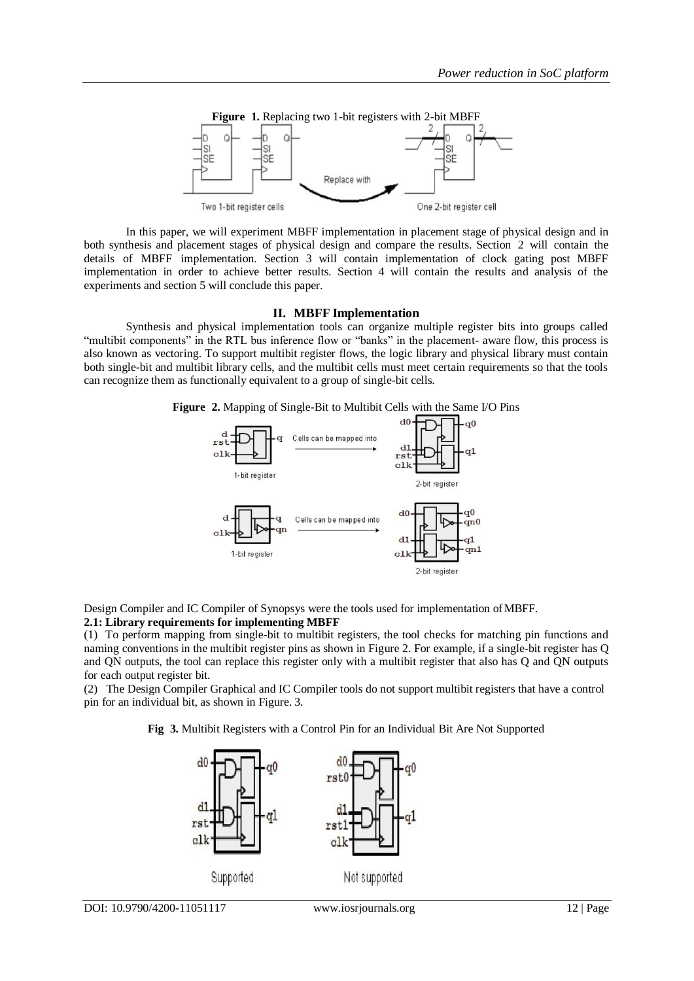

In this paper, we will experiment MBFF implementation in placement stage of physical design and in both synthesis and placement stages of physical design and compare the results. Section 2 will contain the details of MBFF implementation. Section 3 will contain implementation of clock gating post MBFF implementation in order to achieve better results. Section 4 will contain the results and analysis of the experiments and section 5 will conclude this paper.

#### **II. MBFF Implementation**

Synthesis and physical implementation tools can organize multiple register bits into groups called "multibit components" in the RTL bus inference flow or "banks" in the placement- aware flow, this process is also known as vectoring. To support multibit register flows, the logic library and physical library must contain both single-bit and multibit library cells, and the multibit cells must meet certain requirements so that the tools can recognize them as functionally equivalent to a group of single-bit cells.

**Figure 2.** Mapping of Single-Bit to Multibit Cells with the Same I/O Pins



Design Compiler and IC Compiler of Synopsys were the tools used for implementation ofMBFF.

#### **2.1: Library requirements for implementing MBFF**

(1) To perform mapping from single-bit to multibit registers, the tool checks for matching pin functions and naming conventions in the multibit register pins as shown in Figure 2. For example, if a single-bit register has Q and QN outputs, the tool can replace this register only with a multibit register that also has Q and QN outputs for each output register bit.

(2) The Design Compiler Graphical and IC Compiler tools do not support multibit registers that have a control pin for an individual bit, as shown in Figure. 3.

**Fig 3.** Multibit Registers with a Control Pin for an Individual Bit Are Not Supported

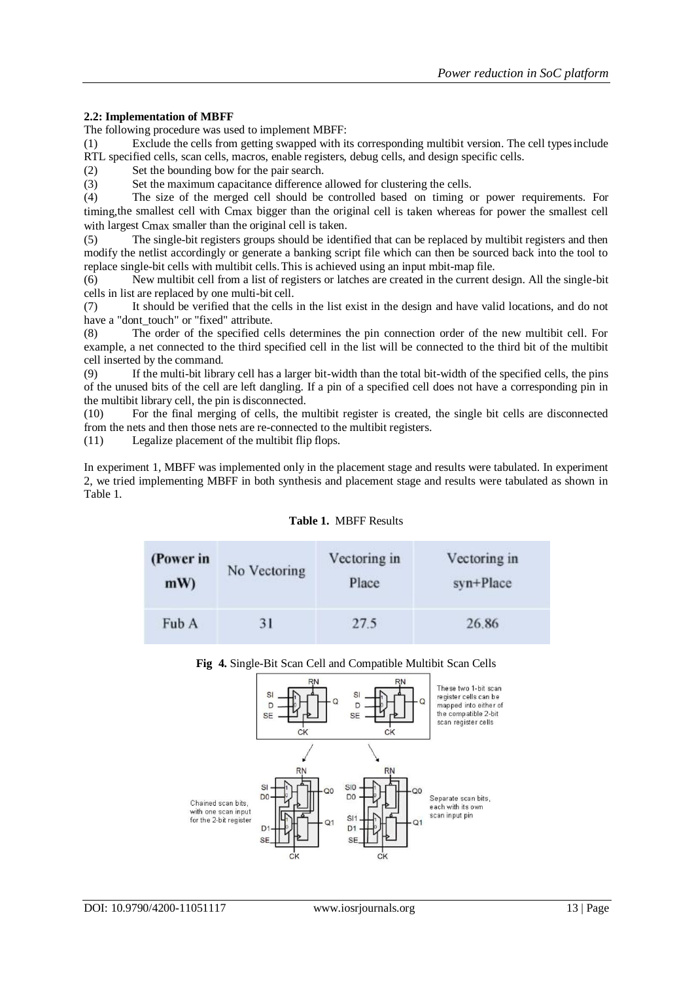#### **2.2: Implementation of MBFF**

The following procedure was used to implement MBFF:

(1) Exclude the cells from getting swapped with its corresponding multibit version. The cell typesinclude RTL specified cells, scan cells, macros, enable registers, debug cells, and design specific cells.

(2) Set the bounding bow for the pair search.

(3) Set the maximum capacitance difference allowed for clustering the cells.

(4) The size of the merged cell should be controlled based on timing or power requirements. For timing,the smallest cell with Cmax bigger than the original cell is taken whereas for power the smallest cell with largest C<sub>max</sub> smaller than the original cell is taken.

(5) The single-bit registers groups should be identified that can be replaced by multibit registers and then modify the netlist accordingly or generate a banking script file which can then be sourced back into the tool to replace single-bit cells with multibit cells.This is achieved using an input mbit-map file.

(6) New multibit cell from a list of registers or latches are created in the current design. All the single-bit cells in list are replaced by one multi-bit cell.

(7) It should be verified that the cells in the list exist in the design and have valid locations, and do not have a "dont touch" or "fixed" attribute.

(8) The order of the specified cells determines the pin connection order of the new multibit cell. For example, a net connected to the third specified cell in the list will be connected to the third bit of the multibit cell inserted by the command.

(9) If the multi-bit library cell has a larger bit-width than the total bit-width of the specified cells, the pins of the unused bits of the cell are left dangling. If a pin of a specified cell does not have a corresponding pin in the multibit library cell, the pin is disconnected.

(10) For the final merging of cells, the multibit register is created, the single bit cells are disconnected from the nets and then those nets are re-connected to the multibit registers.

(11) Legalize placement of the multibit flip flops.

In experiment 1, MBFF was implemented only in the placement stage and results were tabulated. In experiment 2, we tried implementing MBFF in both synthesis and placement stage and results were tabulated as shown in Table 1.

|  | <b>Table 1. MBFF Results</b> |
|--|------------------------------|
|  |                              |

| (Power in | No Vectoring | Vectoring in | Vectoring in |  |
|-----------|--------------|--------------|--------------|--|
| mW        |              | Place        | syn+Place    |  |
| Fub A     | 31           | 27.5         | 26.86        |  |

#### **Fig 4.** Single-Bit Scan Cell and Compatible Multibit Scan Cells

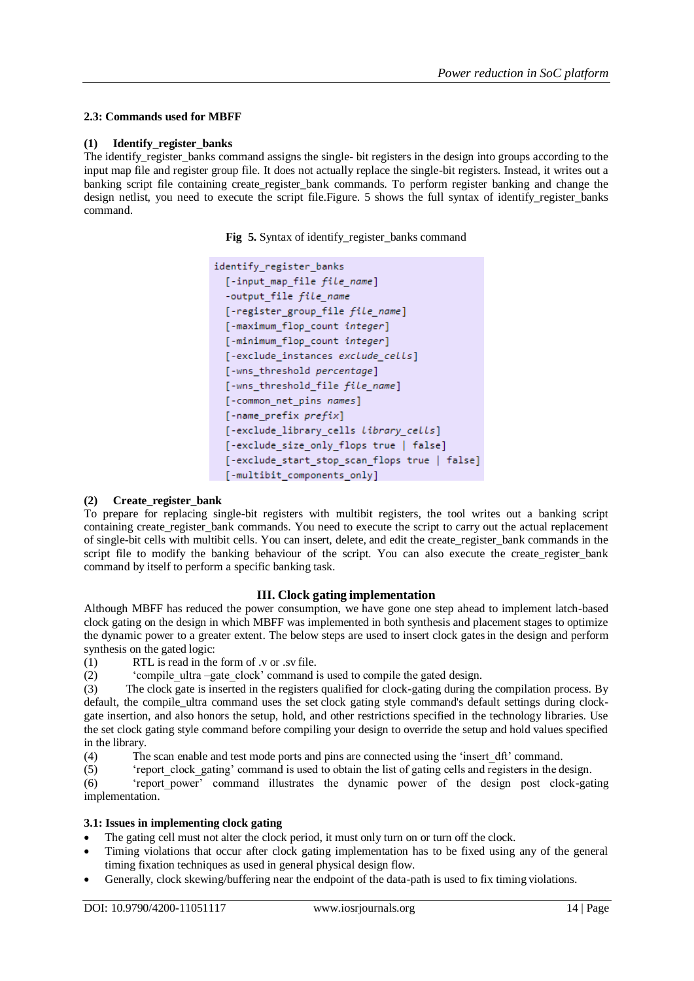## **2.3: Commands used for MBFF**

#### **(1) Identify\_register\_banks**

The identify register banks command assigns the single- bit registers in the design into groups according to the input map file and register group file. It does not actually replace the single-bit registers. Instead, it writes out a banking script file containing create\_register\_bank commands. To perform register banking and change the design netlist, you need to execute the script file.Figure. 5 shows the full syntax of identify\_register\_banks command.

Fig 5. Syntax of identify register banks command

```
identify register banks
 [-input map file file name]
 -output file file name
 [-register group file file name]
 [-maximum flop count integer]
 [-minimum flop count integer]
[-exclude_instances_exclude_cells]
[-wns threshold percentage]
[-wns threshold file file name]
[-common net pins names]
[-name perfix prefix][-exclude library cells library cells]
 [-exclude size only flops true | false]
 [-exclude_start_stop_scan_flops true | false]
[-multibit components only]
```
## **(2) Create\_register\_bank**

To prepare for replacing single-bit registers with multibit registers, the tool writes out a banking script containing create register bank commands. You need to execute the script to carry out the actual replacement of single-bit cells with multibit cells. You can insert, delete, and edit the create\_register\_bank commands in the script file to modify the banking behaviour of the script. You can also execute the create\_register\_bank command by itself to perform a specific banking task.

## **III. Clock gating implementation**

Although MBFF has reduced the power consumption, we have gone one step ahead to implement latch-based clock gating on the design in which MBFF was implemented in both synthesis and placement stages to optimize the dynamic power to a greater extent. The below steps are used to insert clock gatesin the design and perform synthesis on the gated logic:<br>(1) RTL is read in the

RTL is read in the form of .v or .sv file.

(2) 'compile\_ultra –gate\_clock' command is used to compile the gated design.

(3) The clock gate is inserted in the registers qualified for clock-gating during the compilation process. By default, the compile ultra command uses the set clock gating style command's default settings during clockgate insertion, and also honors the setup, hold, and other restrictions specified in the technology libraries. Use the set clock gating style command before compiling your design to override the setup and hold values specified in the library.

(4) The scan enable and test mode ports and pins are connected using the 'insert\_dft' command.

(5) 'report\_clock\_gating' command is used to obtain the list of gating cells and registers in the design.

(6) 'report\_power' command illustrates the dynamic power of the design post clock-gating implementation.

## **3.1: Issues in implementing clock gating**

- The gating cell must not alter the clock period, it must only turn on or turn off the clock.
- Timing violations that occur after clock gating implementation has to be fixed using any of the general timing fixation techniques as used in general physical design flow.
- Generally, clock skewing/buffering near the endpoint of the data-path is used to fix timing violations.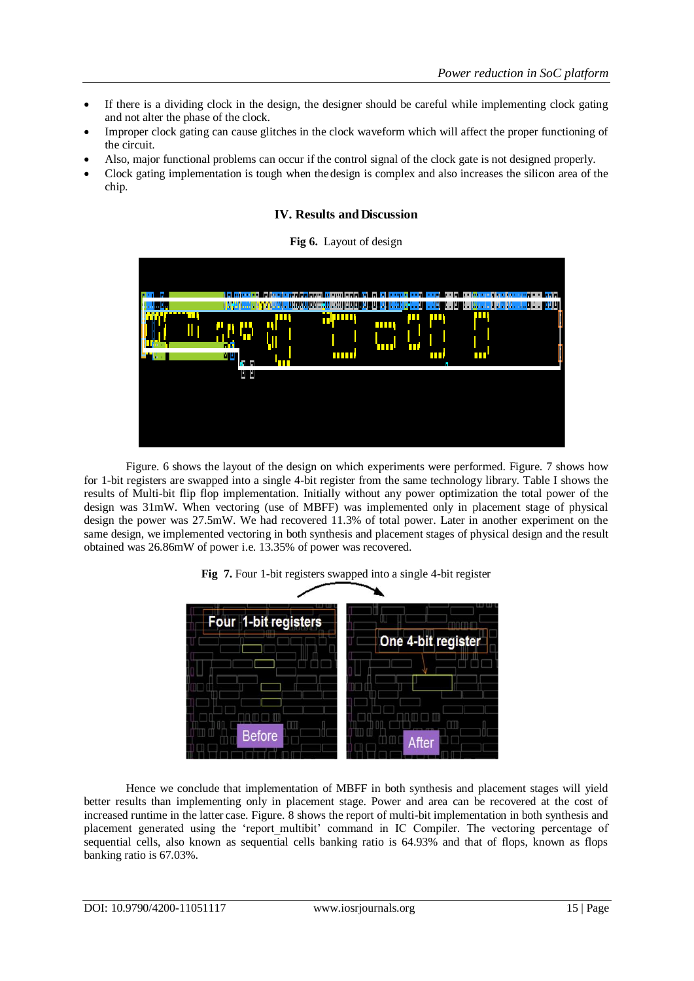- If there is a dividing clock in the design, the designer should be careful while implementing clock gating and not alter the phase of the clock.
- Improper clock gating can cause glitches in the clock waveform which will affect the proper functioning of the circuit.
- Also, major functional problems can occur if the control signal of the clock gate is not designed properly.
- Clock gating implementation is tough when thedesign is complex and also increases the silicon area of the chip.

## **IV. Results and Discussion**

#### **Fig 6.** Layout of design



Figure. 6 shows the layout of the design on which experiments were performed. Figure. 7 shows how for 1-bit registers are swapped into a single 4-bit register from the same technology library. Table I shows the results of Multi-bit flip flop implementation. Initially without any power optimization the total power of the design was 31mW. When vectoring (use of MBFF) was implemented only in placement stage of physical design the power was 27.5mW. We had recovered 11.3% of total power. Later in another experiment on the same design, we implemented vectoring in both synthesis and placement stages of physical design and the result obtained was 26.86mW of power i.e. 13.35% of power was recovered.





Hence we conclude that implementation of MBFF in both synthesis and placement stages will yield better results than implementing only in placement stage. Power and area can be recovered at the cost of increased runtime in the latter case. Figure. 8 shows the report of multi-bit implementation in both synthesis and placement generated using the 'report multibit' command in IC Compiler. The vectoring percentage of sequential cells, also known as sequential cells banking ratio is 64.93% and that of flops, known as flops banking ratio is 67.03%.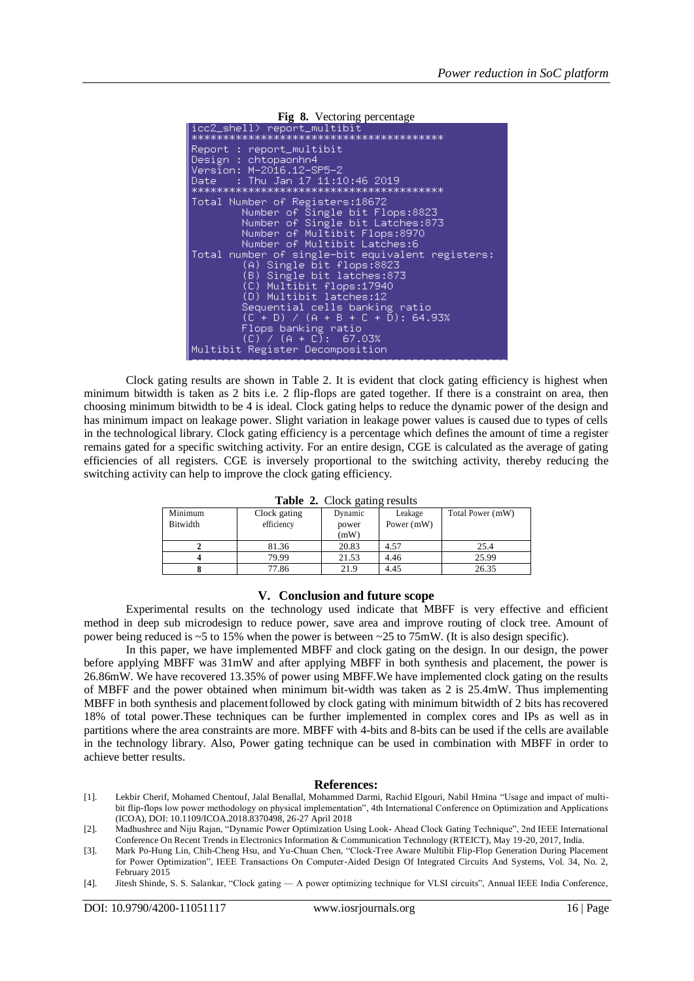

Clock gating results are shown in Table 2. It is evident that clock gating efficiency is highest when minimum bitwidth is taken as 2 bits i.e. 2 flip-flops are gated together. If there is a constraint on area, then choosing minimum bitwidth to be 4 is ideal. Clock gating helps to reduce the dynamic power of the design and has minimum impact on leakage power. Slight variation in leakage power values is caused due to types of cells in the technological library. Clock gating efficiency is a percentage which defines the amount of time a register remains gated for a specific switching activity. For an entire design, CGE is calculated as the average of gating efficiencies of all registers. CGE is inversely proportional to the switching activity, thereby reducing the switching activity can help to improve the clock gating efficiency.

| Table 2. Clock gating results |  |  |  |  |
|-------------------------------|--|--|--|--|
|-------------------------------|--|--|--|--|

| ຼ        |              |         |              |                  |  |  |
|----------|--------------|---------|--------------|------------------|--|--|
| Minimum  | Clock gating | Dynamic | Leakage      | Total Power (mW) |  |  |
| Bitwidth | efficiency   | power   | Power $(mW)$ |                  |  |  |
|          |              | (mW)    |              |                  |  |  |
|          | 81.36        | 20.83   | 4.57         | 25.4             |  |  |
|          | 79.99        | 21.53   | 4.46         | 25.99            |  |  |
|          | 77.86        | 21.9    | 4.45         | 26.35            |  |  |

## **V. Conclusion and future scope**

Experimental results on the technology used indicate that MBFF is very effective and efficient method in deep sub microdesign to reduce power, save area and improve routing of clock tree. Amount of power being reduced is ~5 to 15% when the power is between ~25 to 75mW. (It is also design specific).

In this paper, we have implemented MBFF and clock gating on the design. In our design, the power before applying MBFF was 31mW and after applying MBFF in both synthesis and placement, the power is 26.86mW. We have recovered 13.35% of power using MBFF.We have implemented clock gating on the results of MBFF and the power obtained when minimum bit-width was taken as 2 is 25.4mW. Thus implementing MBFF in both synthesis and placementfollowed by clock gating with minimum bitwidth of 2 bits hasrecovered 18% of total power.These techniques can be further implemented in complex cores and IPs as well as in partitions where the area constraints are more. MBFF with 4-bits and 8-bits can be used if the cells are available in the technology library. Also, Power gating technique can be used in combination with MBFF in order to achieve better results.

#### **References:**

- [1]. Lekbir Cherif, Mohamed Chentouf, Jalal Benallal, Mohammed Darmi, Rachid Elgouri, Nabil Hmina "Usage and impact of multibit flip-flops low power methodology on physical implementation", 4th International Conference on Optimization and Applications (ICOA), DOI: 10.1109/ICOA.2018.8370498, 26-27 April 2018
- [2]. Madhushree and Niju Rajan, "Dynamic Power Optimization Using Look- Ahead Clock Gating Technique", 2nd IEEE International Conference On Recent Trends in Electronics Information & Communication Technology (RTEICT), May 19-20, 2017, India.
- [3]. Mark Po-Hung Lin, Chih-Cheng Hsu, and Yu-Chuan Chen, "Clock-Tree Aware Multibit Flip-Flop Generation During Placement for Power Optimization", IEEE Transactions On Computer-Aided Design Of Integrated Circuits And Systems, Vol. 34, No. 2, February 2015
- [4]. Jitesh Shinde, S. S. Salankar, "Clock gating A power optimizing technique for VLSI circuits", Annual IEEE India Conference,